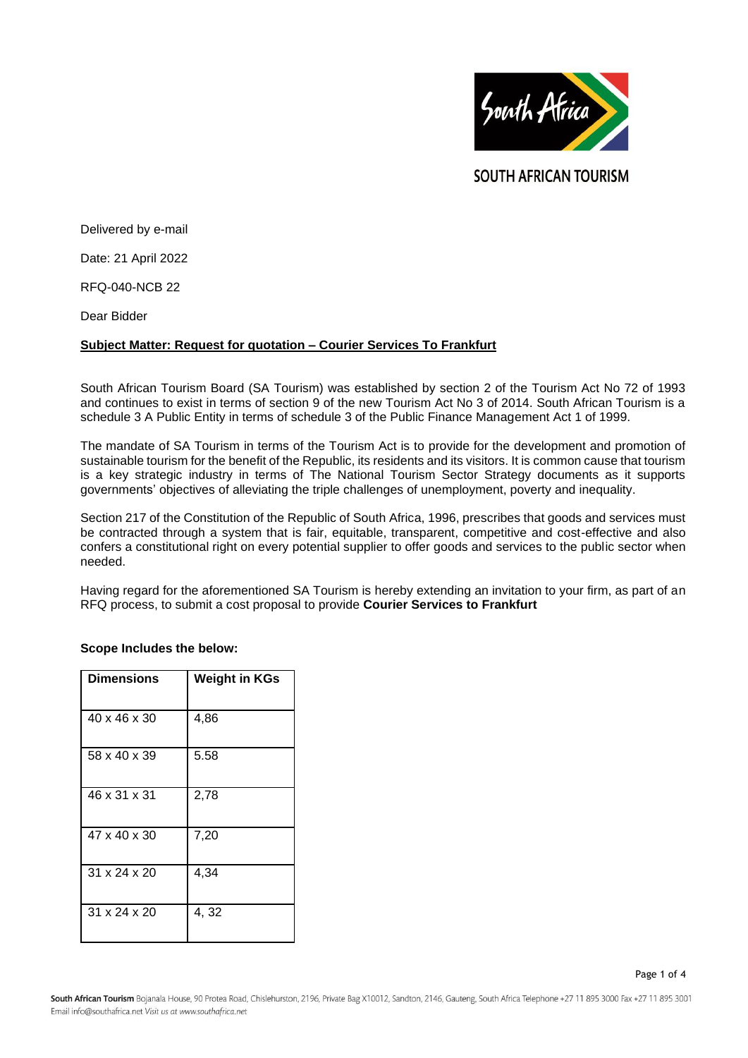

**SOUTH AFRICAN TOURISM** 

Delivered by e-mail

Date: 21 April 2022

RFQ-040-NCB 22

Dear Bidder

# **Subject Matter: Request for quotation – Courier Services To Frankfurt**

South African Tourism Board (SA Tourism) was established by section 2 of the Tourism Act No 72 of 1993 and continues to exist in terms of section 9 of the new Tourism Act No 3 of 2014. South African Tourism is a schedule 3 A Public Entity in terms of schedule 3 of the Public Finance Management Act 1 of 1999.

The mandate of SA Tourism in terms of the Tourism Act is to provide for the development and promotion of sustainable tourism for the benefit of the Republic, its residents and its visitors. It is common cause that tourism is a key strategic industry in terms of The National Tourism Sector Strategy documents as it supports governments' objectives of alleviating the triple challenges of unemployment, poverty and inequality.

Section 217 of the Constitution of the Republic of South Africa, 1996, prescribes that goods and services must be contracted through a system that is fair, equitable, transparent, competitive and cost-effective and also confers a constitutional right on every potential supplier to offer goods and services to the public sector when needed.

Having regard for the aforementioned SA Tourism is hereby extending an invitation to your firm, as part of an RFQ process, to submit a cost proposal to provide **Courier Services to Frankfurt**

# **Scope Includes the below:**

| <b>Dimensions</b>        | <b>Weight in KGs</b> |
|--------------------------|----------------------|
| 40 x 46 x 30             | 4,86                 |
| 58 x 40 x 39             | 5.58                 |
| 46 x 31 x 31             | 2,78                 |
| 47 x 40 x 30             | 7,20                 |
| 31 x 24 x 20             | 4,34                 |
| $31 \times 24 \times 20$ | 4,32                 |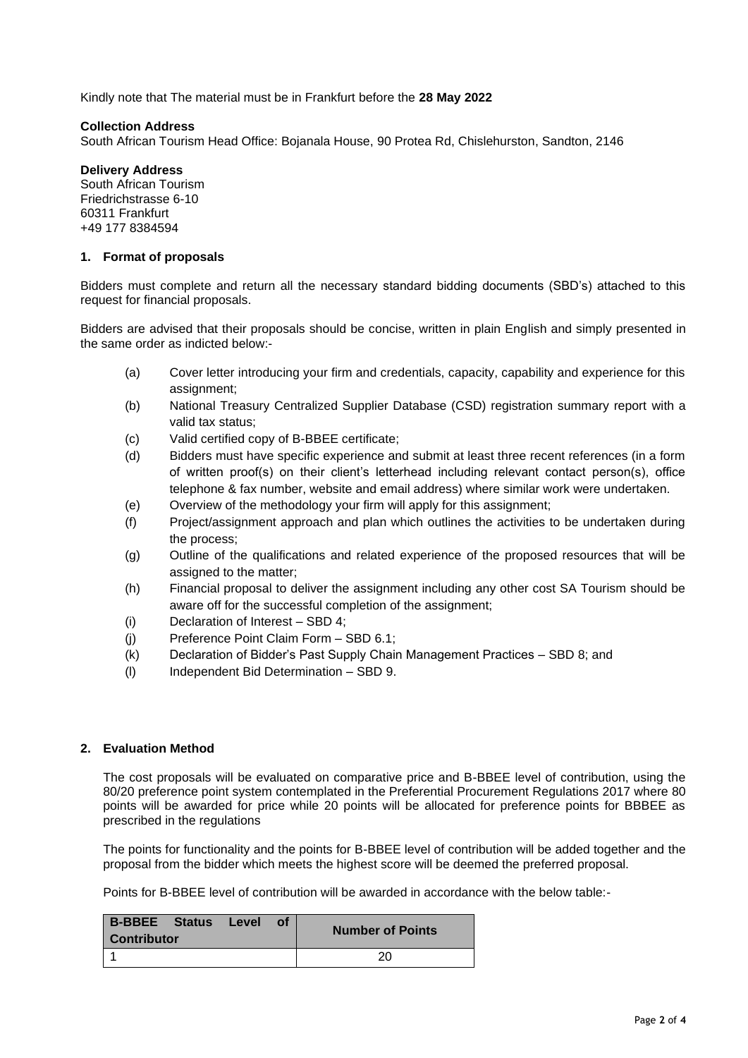Kindly note that The material must be in Frankfurt before the **28 May 2022**

#### **Collection Address**

South African Tourism Head Office: Bojanala House, 90 Protea Rd, Chislehurston, Sandton, 2146

#### **Delivery Address**

South African Tourism Friedrichstrasse 6-10 60311 Frankfurt +49 177 8384594

#### **1. Format of proposals**

Bidders must complete and return all the necessary standard bidding documents (SBD's) attached to this request for financial proposals.

Bidders are advised that their proposals should be concise, written in plain English and simply presented in the same order as indicted below:-

- (a) Cover letter introducing your firm and credentials, capacity, capability and experience for this assignment;
- (b) National Treasury Centralized Supplier Database (CSD) registration summary report with a valid tax status;
- (c) Valid certified copy of B-BBEE certificate;
- (d) Bidders must have specific experience and submit at least three recent references (in a form of written proof(s) on their client's letterhead including relevant contact person(s), office telephone & fax number, website and email address) where similar work were undertaken.
- (e) Overview of the methodology your firm will apply for this assignment;
- (f) Project/assignment approach and plan which outlines the activities to be undertaken during the process;
- (g) Outline of the qualifications and related experience of the proposed resources that will be assigned to the matter;
- (h) Financial proposal to deliver the assignment including any other cost SA Tourism should be aware off for the successful completion of the assignment;
- (i) Declaration of Interest SBD 4;
- (j) Preference Point Claim Form SBD 6.1;
- (k) Declaration of Bidder's Past Supply Chain Management Practices SBD 8; and
- (l) Independent Bid Determination SBD 9.

# **2. Evaluation Method**

The cost proposals will be evaluated on comparative price and B-BBEE level of contribution, using the 80/20 preference point system contemplated in the Preferential Procurement Regulations 2017 where 80 points will be awarded for price while 20 points will be allocated for preference points for BBBEE as prescribed in the regulations

The points for functionality and the points for B-BBEE level of contribution will be added together and the proposal from the bidder which meets the highest score will be deemed the preferred proposal.

Points for B-BBEE level of contribution will be awarded in accordance with the below table:-

| <b>B-BBEE</b> Status<br><b>Contributor</b> | Level | <b>Number of Points</b> |
|--------------------------------------------|-------|-------------------------|
|                                            |       | 20                      |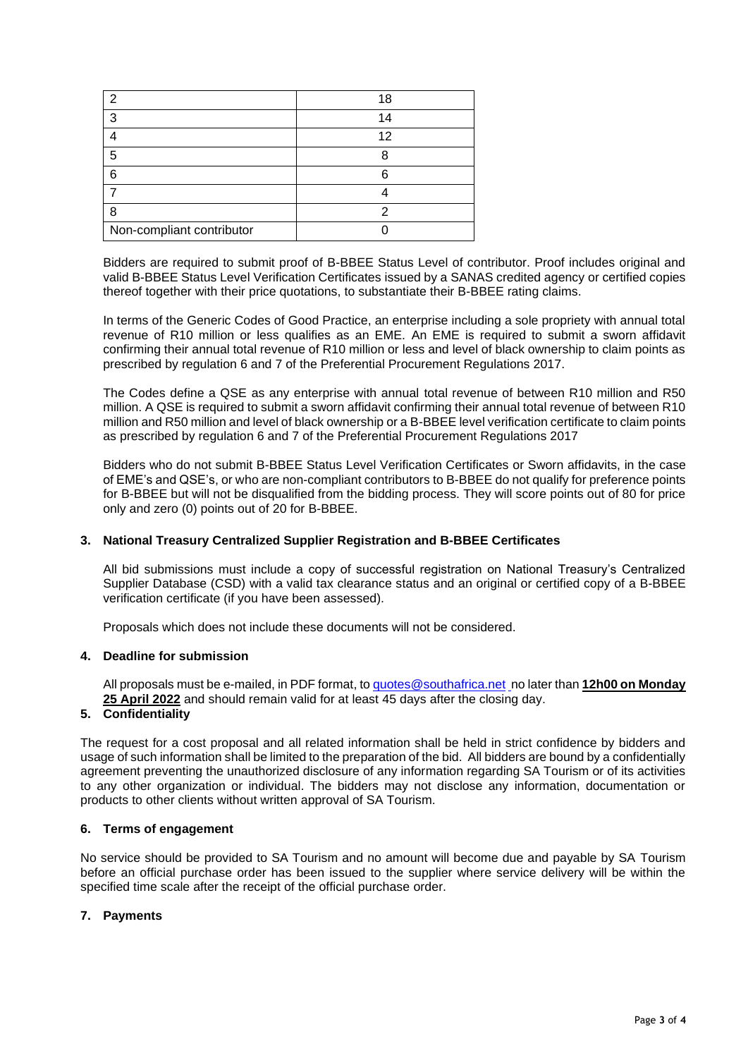| ◠                         | 18 |
|---------------------------|----|
| 3                         | 1⊿ |
|                           | 12 |
| 5                         |    |
| 6                         |    |
|                           |    |
| ጸ                         |    |
| Non-compliant contributor |    |

Bidders are required to submit proof of B-BBEE Status Level of contributor. Proof includes original and valid B-BBEE Status Level Verification Certificates issued by a SANAS credited agency or certified copies thereof together with their price quotations, to substantiate their B-BBEE rating claims.

In terms of the Generic Codes of Good Practice, an enterprise including a sole propriety with annual total revenue of R10 million or less qualifies as an EME. An EME is required to submit a sworn affidavit confirming their annual total revenue of R10 million or less and level of black ownership to claim points as prescribed by regulation 6 and 7 of the Preferential Procurement Regulations 2017.

The Codes define a QSE as any enterprise with annual total revenue of between R10 million and R50 million. A QSE is required to submit a sworn affidavit confirming their annual total revenue of between R10 million and R50 million and level of black ownership or a B-BBEE level verification certificate to claim points as prescribed by regulation 6 and 7 of the Preferential Procurement Regulations 2017

Bidders who do not submit B-BBEE Status Level Verification Certificates or Sworn affidavits, in the case of EME's and QSE's, or who are non-compliant contributors to B-BBEE do not qualify for preference points for B-BBEE but will not be disqualified from the bidding process. They will score points out of 80 for price only and zero (0) points out of 20 for B-BBEE.

# **3. National Treasury Centralized Supplier Registration and B-BBEE Certificates**

All bid submissions must include a copy of successful registration on National Treasury's Centralized Supplier Database (CSD) with a valid tax clearance status and an original or certified copy of a B-BBEE verification certificate (if you have been assessed).

Proposals which does not include these documents will not be considered.

#### **4. Deadline for submission**

All proposals must be e-mailed, in PDF format, to [quotes@southafrica.net](mailto:sizakele@southafrica.net) no later than **12h00 on Monday 25 April 2022** and should remain valid for at least 45 days after the closing day.

# **5. Confidentiality**

The request for a cost proposal and all related information shall be held in strict confidence by bidders and usage of such information shall be limited to the preparation of the bid. All bidders are bound by a confidentially agreement preventing the unauthorized disclosure of any information regarding SA Tourism or of its activities to any other organization or individual. The bidders may not disclose any information, documentation or products to other clients without written approval of SA Tourism.

#### **6. Terms of engagement**

No service should be provided to SA Tourism and no amount will become due and payable by SA Tourism before an official purchase order has been issued to the supplier where service delivery will be within the specified time scale after the receipt of the official purchase order.

#### **7. Payments**